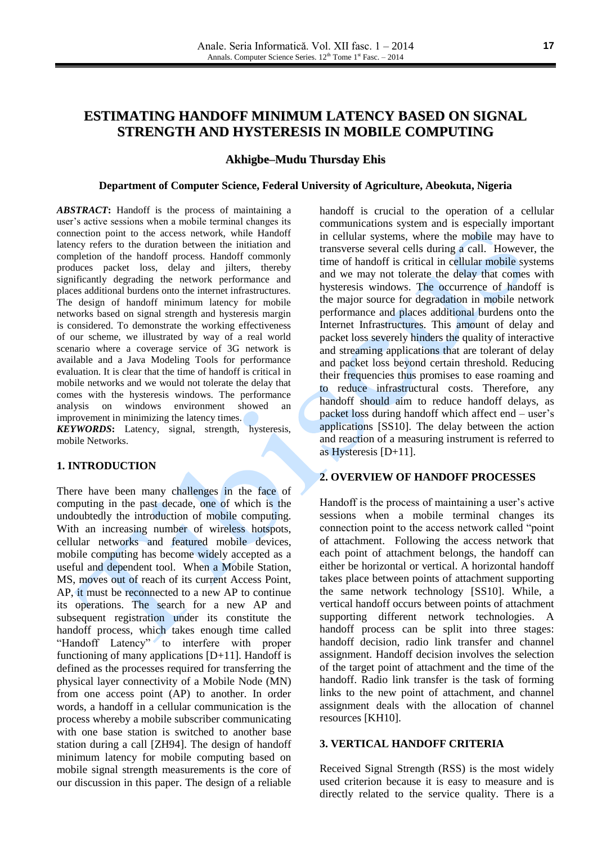# **ESTIMATING HANDOFF MINIMUM LATENCY BASED ON SIGNAL STRENGTH AND HYSTERESIS IN MOBILE COMPUTING**

#### **Akhigbe–Mudu Thursday Ehis**

#### **Department of Computer Science, Federal University of Agriculture, Abeokuta, Nigeria**

*ABSTRACT***:** Handoff is the process of maintaining a user's active sessions when a mobile terminal changes its connection point to the access network, while Handoff latency refers to the duration between the initiation and completion of the handoff process. Handoff commonly produces packet loss, delay and jilters, thereby significantly degrading the network performance and places additional burdens onto the internet infrastructures. The design of handoff minimum latency for mobile networks based on signal strength and hysteresis margin is considered. To demonstrate the working effectiveness of our scheme, we illustrated by way of a real world scenario where a coverage service of 3G network is available and a Java Modeling Tools for performance evaluation. It is clear that the time of handoff is critical in mobile networks and we would not tolerate the delay that comes with the hysteresis windows. The performance analysis on windows environment showed an improvement in minimizing the latency times.

*KEYWORDS***:** Latency, signal, strength, hysteresis, mobile Networks.

# **1. INTRODUCTION**

There have been many challenges in the face of computing in the past decade, one of which is the undoubtedly the introduction of mobile computing. With an increasing number of wireless hotspots, cellular networks and featured mobile devices, mobile computing has become widely accepted as a useful and dependent tool. When a Mobile Station, MS, moves out of reach of its current Access Point, AP, it must be reconnected to a new AP to continue its operations. The search for a new AP and subsequent registration under its constitute the handoff process, which takes enough time called "Handoff Latency" to interfere with proper functioning of many applications [D+11]. Handoff is defined as the processes required for transferring the physical layer connectivity of a Mobile Node (MN) from one access point (AP) to another. In order words, a handoff in a cellular communication is the process whereby a mobile subscriber communicating with one base station is switched to another base station during a call [ZH94]. The design of handoff minimum latency for mobile computing based on mobile signal strength measurements is the core of our discussion in this paper. The design of a reliable

handoff is crucial to the operation of a cellular communications system and is especially important in cellular systems, where the mobile may have to transverse several cells during a call. However, the time of handoff is critical in cellular mobile systems and we may not tolerate the delay that comes with hysteresis windows. The occurrence of handoff is the major source for degradation in mobile network performance and places additional burdens onto the Internet Infrastructures. This amount of delay and packet loss severely hinders the quality of interactive and streaming applications that are tolerant of delay and packet loss beyond certain threshold. Reducing their frequencies thus promises to ease roaming and to reduce infrastructural costs. Therefore, any handoff should aim to reduce handoff delays, as packet loss during handoff which affect end – user's applications [SS10]. The delay between the action and reaction of a measuring instrument is referred to as Hysteresis [D+11].

## **2. OVERVIEW OF HANDOFF PROCESSES**

Handoff is the process of maintaining a user's active sessions when a mobile terminal changes its connection point to the access network called "point of attachment. Following the access network that each point of attachment belongs, the handoff can either be horizontal or vertical. A horizontal handoff takes place between points of attachment supporting the same network technology [SS10]. While, a vertical handoff occurs between points of attachment supporting different network technologies. A handoff process can be split into three stages: handoff decision, radio link transfer and channel assignment. Handoff decision involves the selection of the target point of attachment and the time of the handoff. Radio link transfer is the task of forming links to the new point of attachment, and channel assignment deals with the allocation of channel resources [KH10].

# **3. VERTICAL HANDOFF CRITERIA**

Received Signal Strength (RSS) is the most widely used criterion because it is easy to measure and is directly related to the service quality. There is a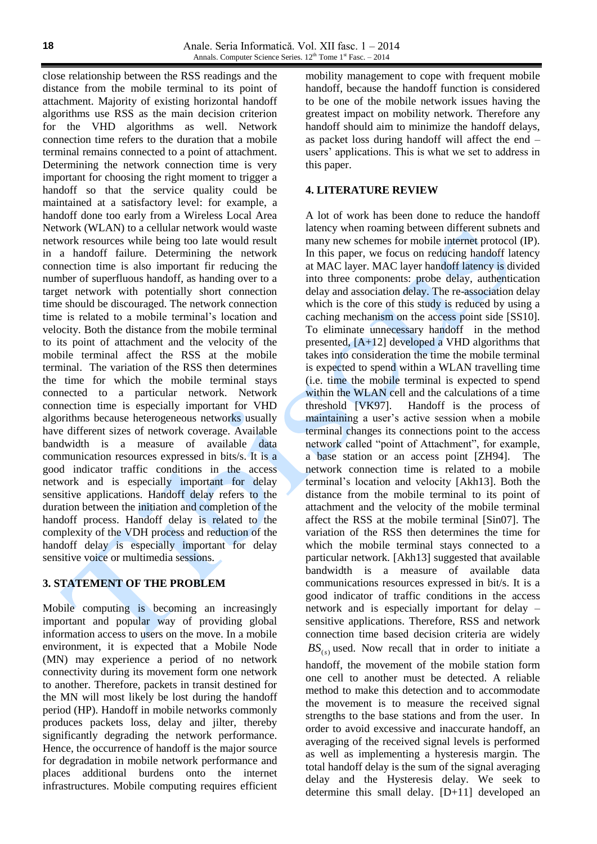close relationship between the RSS readings and the distance from the mobile terminal to its point of attachment. Majority of existing horizontal handoff algorithms use RSS as the main decision criterion for the VHD algorithms as well. Network connection time refers to the duration that a mobile terminal remains connected to a point of attachment. Determining the network connection time is very important for choosing the right moment to trigger a handoff so that the service quality could be maintained at a satisfactory level: for example, a handoff done too early from a Wireless Local Area Network (WLAN) to a cellular network would waste network resources while being too late would result in a handoff failure. Determining the network connection time is also important fir reducing the number of superfluous handoff, as handing over to a target network with potentially short connection time should be discouraged. The network connection time is related to a mobile terminal's location and velocity. Both the distance from the mobile terminal to its point of attachment and the velocity of the mobile terminal affect the RSS at the mobile terminal. The variation of the RSS then determines the time for which the mobile terminal stays connected to a particular network. Network connection time is especially important for VHD algorithms because heterogeneous networks usually have different sizes of network coverage. Available bandwidth is a measure of available data communication resources expressed in bits/s. It is a good indicator traffic conditions in the access network and is especially important for delay sensitive applications. Handoff delay refers to the duration between the initiation and completion of the handoff process. Handoff delay is related to the complexity of the VDH process and reduction of the handoff delay is especially important for delay sensitive voice or multimedia sessions.

# **3. STATEMENT OF THE PROBLEM**

Mobile computing is becoming an increasingly important and popular way of providing global information access to users on the move. In a mobile environment, it is expected that a Mobile Node (MN) may experience a period of no network connectivity during its movement form one network to another. Therefore, packets in transit destined for the MN will most likely be lost during the handoff period (HP). Handoff in mobile networks commonly produces packets loss, delay and jilter, thereby significantly degrading the network performance. Hence, the occurrence of handoff is the major source for degradation in mobile network performance and places additional burdens onto the internet infrastructures. Mobile computing requires efficient

mobility management to cope with frequent mobile handoff, because the handoff function is considered to be one of the mobile network issues having the greatest impact on mobility network. Therefore any handoff should aim to minimize the handoff delays, as packet loss during handoff will affect the end – users' applications. This is what we set to address in this paper.

## **4. LITERATURE REVIEW**

A lot of work has been done to reduce the handoff latency when roaming between different subnets and many new schemes for mobile internet protocol (IP). In this paper, we focus on reducing handoff latency at MAC layer. MAC layer handoff latency is divided into three components: probe delay, authentication delay and association delay. The re-association delay which is the core of this study is reduced by using a caching mechanism on the access point side [SS10]. To eliminate unnecessary handoff in the method presented, [A+12] developed a VHD algorithms that takes into consideration the time the mobile terminal is expected to spend within a WLAN travelling time (i.e. time the mobile terminal is expected to spend within the WLAN cell and the calculations of a time threshold [VK97]. Handoff is the process of maintaining a user's active session when a mobile terminal changes its connections point to the access network called "point of Attachment", for example, a base station or an access point [ZH94]. The network connection time is related to a mobile terminal's location and velocity [Akh13]. Both the distance from the mobile terminal to its point of attachment and the velocity of the mobile terminal affect the RSS at the mobile terminal [Sin07]. The variation of the RSS then determines the time for which the mobile terminal stays connected to a particular network. [Akh13] suggested that available bandwidth is a measure of available data communications resources expressed in bit/s. It is a good indicator of traffic conditions in the access network and is especially important for delay – sensitive applications. Therefore, RSS and network connection time based decision criteria are widely  $BS_{(s)}$  used. Now recall that in order to initiate a handoff, the movement of the mobile station form one cell to another must be detected. A reliable method to make this detection and to accommodate the movement is to measure the received signal strengths to the base stations and from the user. In order to avoid excessive and inaccurate handoff, an averaging of the received signal levels is performed as well as implementing a hysteresis margin. The total handoff delay is the sum of the signal averaging delay and the Hysteresis delay. We seek to determine this small delay. [D+11] developed an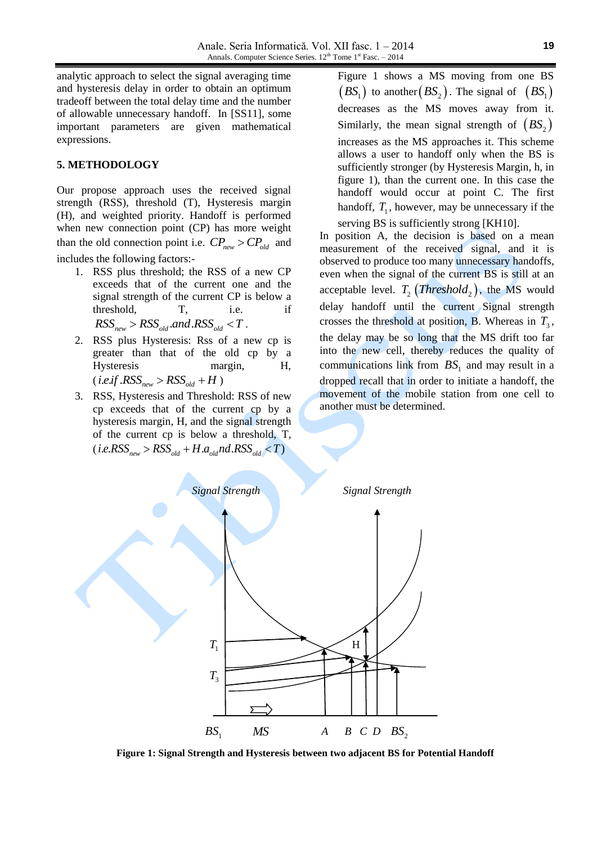analytic approach to select the signal averaging time and hysteresis delay in order to obtain an optimum tradeoff between the total delay time and the number of allowable unnecessary handoff. In [SS11], some important parameters are given mathematical expressions.

#### **5. METHODOLOGY**

Our propose approach uses the received signal strength (RSS), threshold (T), Hysteresis margin (H), and weighted priority. Handoff is performed when new connection point (CP) has more weight than the old connection point i.e.  $CP_{new} > CP_{old}$  and includes the following factors:-

- 1. RSS plus threshold; the RSS of a new CP exceeds that of the current one and the signal strength of the current CP is below a threshold, T, i.e. if  $RSS_{new} > RSS_{old}$  *and RSS*<sub>old</sub> < T.
- 2. RSS plus Hysteresis: Rss of a new cp is greater than that of the old cp by a Hysteresis margin, H,  $(i.e. if . RSS<sub>new</sub> > RSS<sub>old</sub> + H)$
- 3. RSS, Hysteresis and Threshold: RSS of new cp exceeds that of the current cp by a hysteresis margin, H, and the signal strength of the current cp is below a threshold, T, of the current cp is below a threshold, T,<br>(*i.e.RSS*<sub>new</sub> >  $RSS_{old} + H.a_{old}nd.RSS_{old} < T$ )

Figure 1 shows a MS moving from one BS  $(BS_1)$  to another  $(BS_2)$ . The signal of  $(BS_1)$ decreases as the MS moves away from it. Similarly, the mean signal strength of  $(BS_2)$ increases as the MS approaches it. This scheme allows a user to handoff only when the BS is sufficiently stronger (by Hysteresis Margin, h, in figure 1), than the current one. In this case the handoff would occur at point C. The first handoff,  $T_1$ , however, may be unnecessary if the

serving BS is sufficiently strong [KH10].

In position A, the decision is based on a mean measurement of the received signal, and it is observed to produce too many unnecessary handoffs, even when the signal of the current BS is still at an acceptable level.  $T_2$   $(Threshold_2)$ , the MS would delay handoff until the current Signal strength crosses the threshold at position, B. Whereas in  $T_3$ , the delay may be so long that the MS drift too far into the new cell, thereby reduces the quality of communications link from  $BS_1$  and may result in a dropped recall that in order to initiate a handoff, the movement of the mobile station from one cell to another must be determined.



**Figure 1: Signal Strength and Hysteresis between two adjacent BS for Potential Handoff**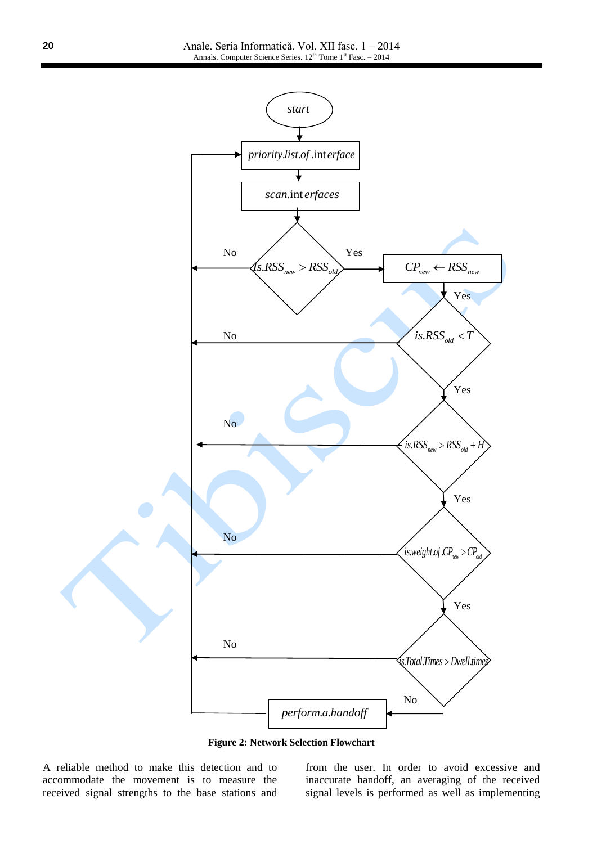

**Figure 2: Network Selection Flowchart**

A reliable method to make this detection and to accommodate the movement is to measure the received signal strengths to the base stations and from the user. In order to avoid excessive and inaccurate handoff, an averaging of the received signal levels is performed as well as implementing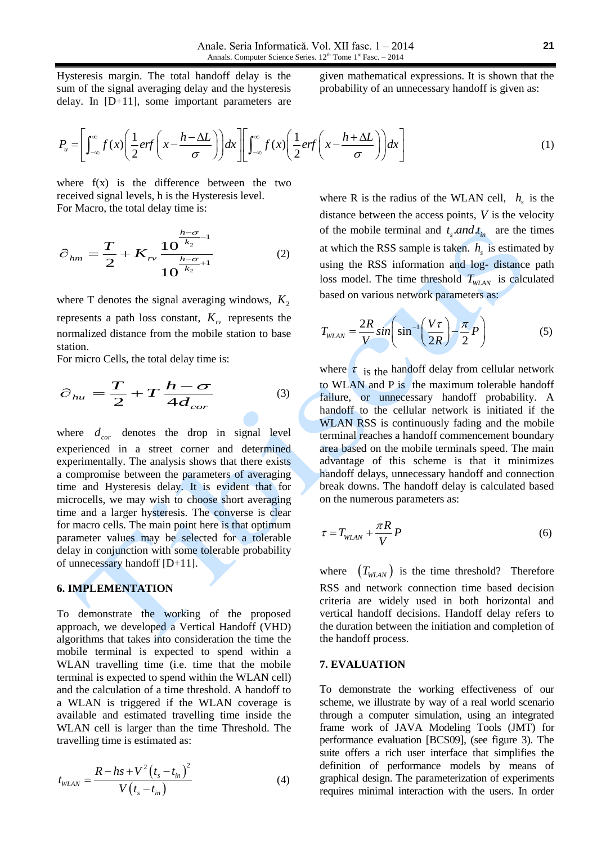Hysteresis margin. The total handoff delay is the sum of the signal averaging delay and the hysteresis

given mathematical expressions. It is shown that the probability of an unnecessary handoff is given as:

sum of the signal averaging delay and the hysteresis  
delay. In [D+11], some important parameters are  

$$
P_u = \left[ \int_{-\infty}^{\infty} f(x) \left( \frac{1}{2} erf \left( x - \frac{h - \Delta L}{\sigma} \right) \right) dx \right] \left[ \int_{-\infty}^{\infty} f(x) \left( \frac{1}{2} erf \left( x - \frac{h + \Delta L}{\sigma} \right) \right) dx \right]
$$
(1)

where  $f(x)$  is the difference between the two received signal levels, h is the Hysteresis level. For Macro, the total delay time is:

$$
\hat{\sigma}_{hm} = \frac{T}{2} + K_{rv} \frac{10^{\frac{h-\sigma}{k_2}-1}}{10^{\frac{h-\sigma}{k_2}+1}}
$$
 (2)

where T denotes the signal averaging windows,  $K_2$ represents a path loss constant,  $K_{r\nu}$  represents the normalized distance from the mobile station to base station.

For micro Cells, the total delay time is:

$$
\partial_{hu} = \frac{T}{2} + T \frac{h - \sigma}{4d_{cor}}
$$
 (3)

where  $d_{cor}$  denotes the drop in signal level experienced in a street corner and determined experimentally. The analysis shows that there exists a compromise between the parameters of averaging time and Hysteresis delay. It is evident that for microcells, we may wish to choose short averaging time and a larger hysteresis. The converse is clear for macro cells. The main point here is that optimum parameter values may be selected for a tolerable delay in conjunction with some tolerable probability of unnecessary handoff [D+11].

## **6. IMPLEMENTATION**

To demonstrate the working of the proposed approach, we developed a Vertical Handoff (VHD) algorithms that takes into consideration the time the mobile terminal is expected to spend within a WLAN travelling time (i.e. time that the mobile terminal is expected to spend within the WLAN cell) and the calculation of a time threshold. A handoff to a WLAN is triggered if the WLAN coverage is available and estimated travelling time inside the WLAN cell is larger than the time Threshold. The travelling time is estimated as:

$$
t_{WLAN} = \frac{R - hs + V^2 (t_s - t_{in})^2}{V (t_s - t_{in})}
$$
(4)

where R is the radius of the WLAN cell,  $h_s$  is the distance between the access points,  $V$  is the velocity of the mobile terminal and  $t_s$  *and*  $t_m$  are the times at which the RSS sample is taken.  $h<sub>s</sub>$  is estimated by using the RSS information and log- distance path loss model. The time threshold  $T_{WLAN}$  is calculated based on various network parameters as:

$$
T_{WLAN} = \frac{2R}{V} \sin\left(\sin^{-1}\left(\frac{V\tau}{2R}\right) - \frac{\pi}{2}P\right)
$$
 (5)

where  $\tau$  is the handoff delay from cellular network to WLAN and P is the maximum tolerable handoff failure, or unnecessary handoff probability. A handoff to the cellular network is initiated if the WLAN RSS is continuously fading and the mobile terminal reaches a handoff commencement boundary area based on the mobile terminals speed. The main advantage of this scheme is that it minimizes handoff delays, unnecessary handoff and connection break downs. The handoff delay is calculated based on the numerous parameters as:

$$
\tau = T_{WLAN} + \frac{\pi R}{V} P \tag{6}
$$

where  $(T_{WLAN})$  is the time threshold? Therefore RSS and network connection time based decision criteria are widely used in both horizontal and vertical handoff decisions. Handoff delay refers to the duration between the initiation and completion of the handoff process.

# **7. EVALUATION**

To demonstrate the working effectiveness of our scheme, we illustrate by way of a real world scenario through a computer simulation, using an integrated frame work of JAVA Modeling Tools (JMT) for performance evaluation [BCS09], (see figure 3). The suite offers a rich user interface that simplifies the definition of performance models by means of graphical design. The parameterization of experiments requires minimal interaction with the users. In order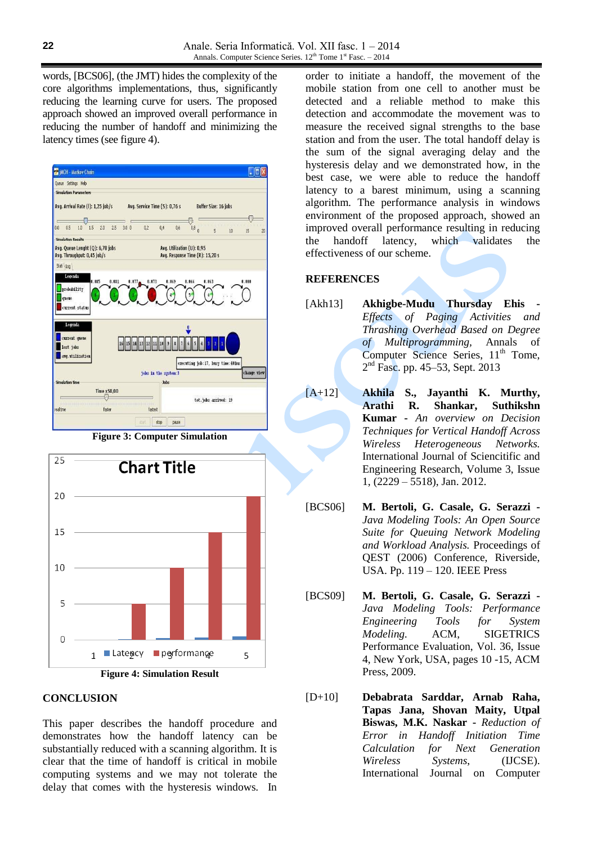words, [BCS06], (the JMT) hides the complexity of the core algorithms implementations, thus, significantly reducing the learning curve for users. The proposed approach showed an improved overall performance in reducing the number of handoff and minimizing the latency times (see figure 4).



**Figure 3: Computer Simulation**



### **CONCLUSION**

This paper describes the handoff procedure and demonstrates how the handoff latency can be substantially reduced with a scanning algorithm. It is clear that the time of handoff is critical in mobile computing systems and we may not tolerate the delay that comes with the hysteresis windows. In

order to initiate a handoff, the movement of the mobile station from one cell to another must be detected and a reliable method to make this detection and accommodate the movement was to measure the received signal strengths to the base station and from the user. The total handoff delay is the sum of the signal averaging delay and the hysteresis delay and we demonstrated how, in the best case, we were able to reduce the handoff latency to a barest minimum, using a scanning algorithm. The performance analysis in windows environment of the proposed approach, showed an improved overall performance resulting in reducing the handoff latency, which validates the effectiveness of our scheme.

#### **REFERENCES**

- [Akh13] **Akhigbe-Mudu Thursday Ehis -** *Effects of Paging Activities and Thrashing Overhead Based on Degree of Multiprogramming,* Annals of Computer Science Series,  $11<sup>th</sup>$  Tome, 2<sup>nd</sup> Fasc. pp. 45–53, Sept. 2013
- [A+12] **Akhila S., Jayanthi K. Murthy, Arathi R. Shankar, Suthikshn Kumar -** *An overview on Decision Techniques for Vertical Handoff Across Wireless Heterogeneous Networks.* International Journal of Sciencitific and Engineering Research, Volume 3, Issue 1, (2229 – 5518), Jan. 2012.
- [BCS06] **M. Bertoli, G. Casale, G. Serazzi -** *Java Modeling Tools: An Open Source Suite for Queuing Network Modeling and Workload Analysis.* Proceedings of QEST (2006) Conference, Riverside, USA. Pp. 119 – 120. IEEE Press
	- [BCS09] **M. Bertoli, G. Casale, G. Serazzi -** *Java Modeling Tools: Performance Engineering Tools for System Modeling.* ACM, SIGETRICS Performance Evaluation, Vol. 36, Issue 4, New York, USA, pages 10 -15, ACM Press, 2009.
	- [D+10] **Debabrata Sarddar, Arnab Raha, Tapas Jana, Shovan Maity, Utpal Biswas, M.K. Naskar -** *Reduction of Error in Handoff Initiation Time Calculation for Next Generation Wireless Systems*, (IJCSE). International Journal on Computer